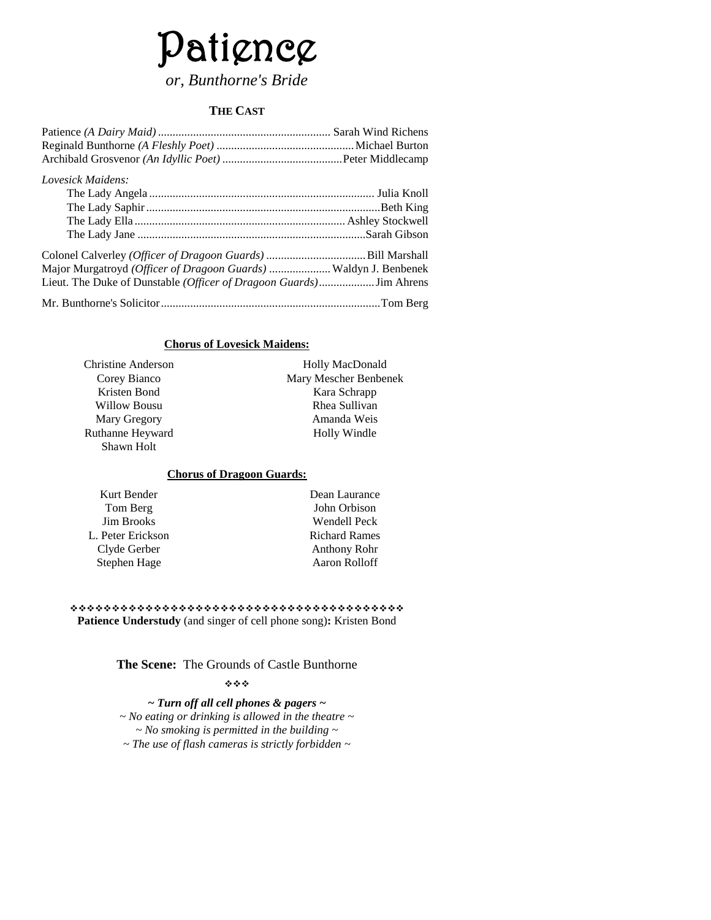# Patience *or, Bunthorne's Bride*

#### **THE CAST**

| Lovesick Maidens:                                                |  |
|------------------------------------------------------------------|--|
|                                                                  |  |
|                                                                  |  |
|                                                                  |  |
|                                                                  |  |
|                                                                  |  |
| Major Murgatroyd (Officer of Dragoon Guards)  Waldyn J. Benbenek |  |
|                                                                  |  |
|                                                                  |  |

#### **Chorus of Lovesick Maidens:**

| Christine Anderson |  |
|--------------------|--|
| Corey Bianco       |  |
| Kristen Bond       |  |
| Willow Bousu       |  |
| Mary Gregory       |  |
| Ruthanne Heyward   |  |
| Shawn Holt         |  |
|                    |  |

Holly MacDonald Mary Mescher Benbenek Kara Schrapp Rhea Sullivan Amanda Weis Holly Windle

#### **Chorus of Dragoon Guards:**

| Kurt Bender       |
|-------------------|
| Tom Berg          |
| <b>Jim Brooks</b> |
| L. Peter Erickson |
| Clyde Gerber      |
| Stephen Hage      |

Dean Laurance John Orbison Wendell Peck Richard Rames Anthony Rohr Aaron Rolloff

 **Patience Understudy** (and singer of cell phone song)**:** Kristen Bond

**The Scene:** The Grounds of Castle Bunthorne

#### \*\*\*

*~ Turn off all cell phones & pagers ~ ~ No eating or drinking is allowed in the theatre ~ ~ No smoking is permitted in the building ~ ~ The use of flash cameras is strictly forbidden ~*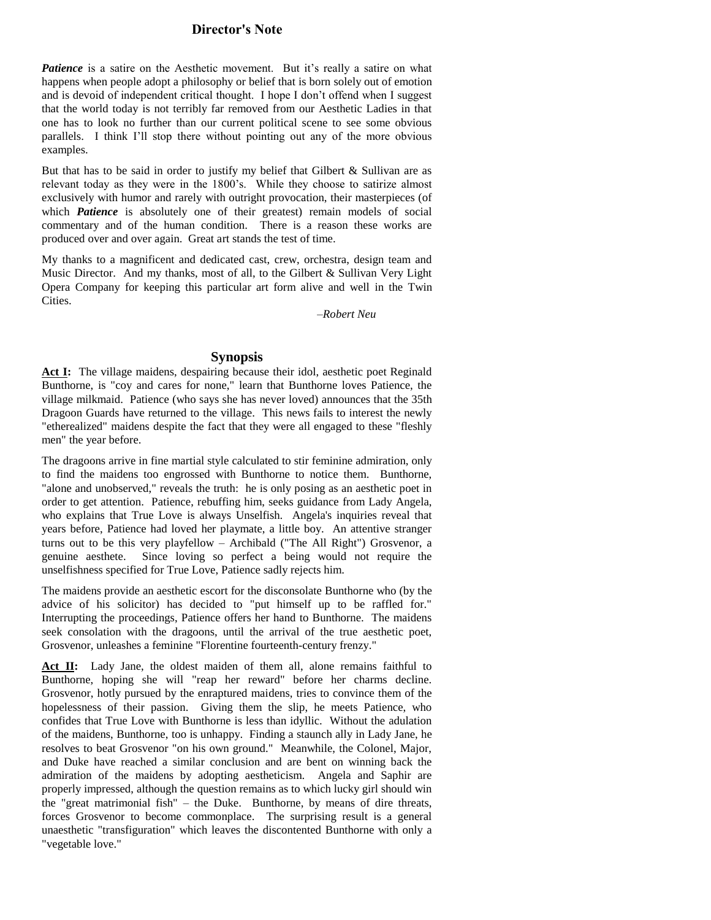#### **Director's Note**

**Patience** is a satire on the Aesthetic movement. But it's really a satire on what happens when people adopt a philosophy or belief that is born solely out of emotion and is devoid of independent critical thought. I hope I don't offend when I suggest that the world today is not terribly far removed from our Aesthetic Ladies in that one has to look no further than our current political scene to see some obvious parallels. I think I'll stop there without pointing out any of the more obvious examples.

But that has to be said in order to justify my belief that Gilbert & Sullivan are as relevant today as they were in the 1800's. While they choose to satirize almost exclusively with humor and rarely with outright provocation, their masterpieces (of which **Patience** is absolutely one of their greatest) remain models of social commentary and of the human condition. There is a reason these works are produced over and over again. Great art stands the test of time.

My thanks to a magnificent and dedicated cast, crew, orchestra, design team and Music Director. And my thanks, most of all, to the Gilbert & Sullivan Very Light Opera Company for keeping this particular art form alive and well in the Twin Cities.

*–Robert Neu*

#### **Synopsis**

Act I: The village maidens, despairing because their idol, aesthetic poet Reginald Bunthorne, is "coy and cares for none," learn that Bunthorne loves Patience, the village milkmaid. Patience (who says she has never loved) announces that the 35th Dragoon Guards have returned to the village. This news fails to interest the newly "etherealized" maidens despite the fact that they were all engaged to these "fleshly men" the year before.

The dragoons arrive in fine martial style calculated to stir feminine admiration, only to find the maidens too engrossed with Bunthorne to notice them. Bunthorne, "alone and unobserved," reveals the truth: he is only posing as an aesthetic poet in order to get attention. Patience, rebuffing him, seeks guidance from Lady Angela, who explains that True Love is always Unselfish. Angela's inquiries reveal that years before, Patience had loved her playmate, a little boy. An attentive stranger turns out to be this very playfellow – Archibald ("The All Right") Grosvenor, a genuine aesthete. Since loving so perfect a being would not require the unselfishness specified for True Love, Patience sadly rejects him.

The maidens provide an aesthetic escort for the disconsolate Bunthorne who (by the advice of his solicitor) has decided to "put himself up to be raffled for." Interrupting the proceedings, Patience offers her hand to Bunthorne. The maidens seek consolation with the dragoons, until the arrival of the true aesthetic poet, Grosvenor, unleashes a feminine "Florentine fourteenth-century frenzy."

Act II: Lady Jane, the oldest maiden of them all, alone remains faithful to Bunthorne, hoping she will "reap her reward" before her charms decline. Grosvenor, hotly pursued by the enraptured maidens, tries to convince them of the hopelessness of their passion. Giving them the slip, he meets Patience, who confides that True Love with Bunthorne is less than idyllic. Without the adulation of the maidens, Bunthorne, too is unhappy. Finding a staunch ally in Lady Jane, he resolves to beat Grosvenor "on his own ground." Meanwhile, the Colonel, Major, and Duke have reached a similar conclusion and are bent on winning back the admiration of the maidens by adopting aestheticism. Angela and Saphir are properly impressed, although the question remains as to which lucky girl should win the "great matrimonial fish" – the Duke. Bunthorne, by means of dire threats, forces Grosvenor to become commonplace. The surprising result is a general unaesthetic "transfiguration" which leaves the discontented Bunthorne with only a "vegetable love."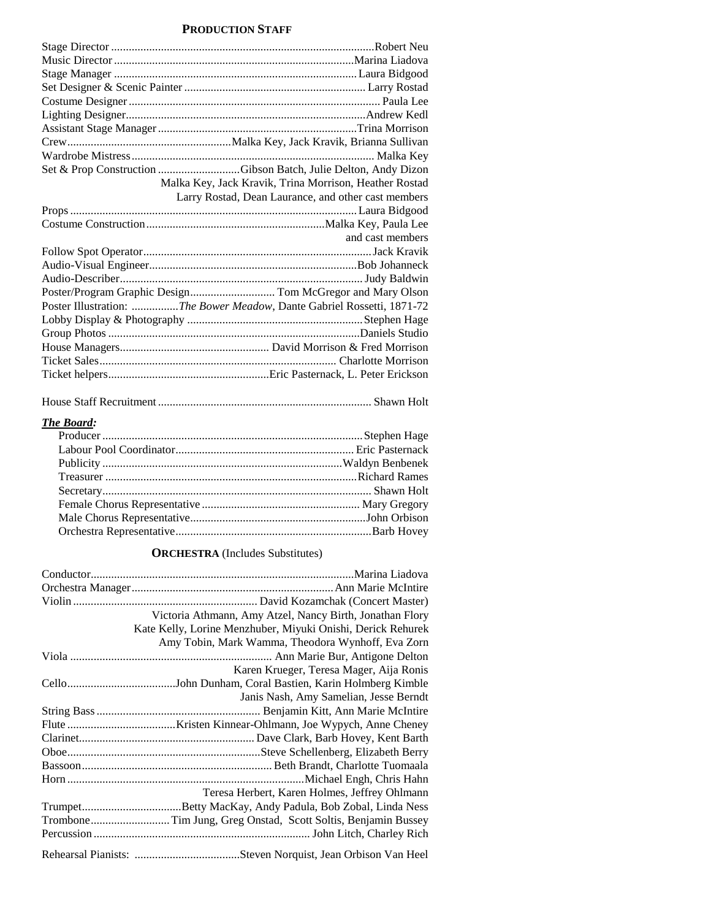#### **PRODUCTION STAFF**

| Set & Prop Construction Gibson Batch, Julie Delton, Andy Dizon         |
|------------------------------------------------------------------------|
| Malka Key, Jack Kravik, Trina Morrison, Heather Rostad                 |
| Larry Rostad, Dean Laurance, and other cast members                    |
|                                                                        |
|                                                                        |
| and cast members                                                       |
|                                                                        |
|                                                                        |
|                                                                        |
|                                                                        |
| Poster Illustration: The Bower Meadow, Dante Gabriel Rossetti, 1871-72 |
|                                                                        |
|                                                                        |
|                                                                        |
|                                                                        |
|                                                                        |
|                                                                        |

|--|--|--|--|--|

### *The Board:*

#### **ORCHESTRA** (Includes Substitutes)

| Victoria Athmann, Amy Atzel, Nancy Birth, Jonathan Flory     |
|--------------------------------------------------------------|
| Kate Kelly, Lorine Menzhuber, Miyuki Onishi, Derick Rehurek  |
| Amy Tobin, Mark Wamma, Theodora Wynhoff, Eva Zorn            |
|                                                              |
| Karen Krueger, Teresa Mager, Aija Ronis                      |
|                                                              |
| Janis Nash, Amy Samelian, Jesse Berndt                       |
|                                                              |
|                                                              |
|                                                              |
|                                                              |
|                                                              |
|                                                              |
| Teresa Herbert, Karen Holmes, Jeffrey Ohlmann                |
|                                                              |
| TromboneTim Jung, Greg Onstad, Scott Soltis, Benjamin Bussey |
|                                                              |
|                                                              |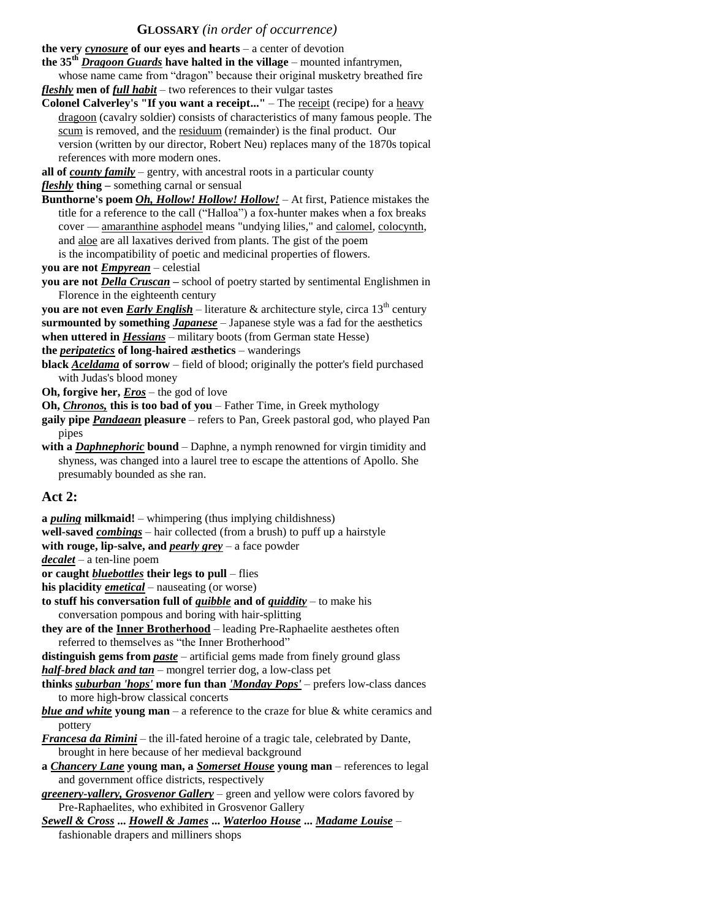#### **GLOSSARY** *(in order of occurrence)*

**the very** *cynosure* **of our eyes and hearts** – a center of devotion

- **the 35th** *Dragoon Guards* **have halted in the village** mounted infantrymen, whose name came from "dragon" because their original musketry breathed fire *fleshly* **men of** *full habit* – two references to their vulgar tastes
- **Colonel Calverley's "If you want a receipt..."**  The receipt (recipe) for a heavy dragoon (cavalry soldier) consists of characteristics of many famous people. The scum is removed, and the residuum (remainder) is the final product. Our version (written by our director, Robert Neu) replaces many of the 1870s topical references with more modern ones.

**all of** *county family* – gentry, with ancestral roots in a particular county *fleshly* **thing –** something carnal or sensual

- **Bunthorne's poem** *Oh, Hollow! Hollow! Hollow!* At first, Patience mistakes the title for a reference to the call ("Halloa") a fox-hunter makes when a fox breaks cover — amaranthine asphodel means "undying lilies," and calomel, colocynth, and aloe are all laxatives derived from plants. The gist of the poem is the incompatibility of poetic and medicinal properties of flowers.
- **you are not** *Empyrean* celestial
- **you are not** *Della Cruscan –* school of poetry started by sentimental Englishmen in Florence in the eighteenth century
- **you are not even** *Early English* literature  $\&$  architecture style, circa 13<sup>th</sup> century
- **surmounted by something** *Japanese* Japanese style was a fad for the aesthetics **when uttered in** *Hessians* – military boots (from German state Hesse)

#### **the** *peripatetics* **of long-haired æsthetics** – wanderings

**black** *Aceldama* **of sorrow** – field of blood; originally the potter's field purchased with Judas's blood money

**Oh, forgive her,** *Eros* – the god of love

**Oh,** *Chronos,* **this is too bad of you** – Father Time, in Greek mythology

- **gaily pipe** *Pandaean* **pleasure**  refers to Pan, Greek pastoral god, who played Pan pipes
- with a *Daphnephoric* bound Daphne, a nymph renowned for virgin timidity and shyness, was changed into a laurel tree to escape the attentions of Apollo. She presumably bounded as she ran.

#### **Act 2:**

**a** *puling* **milkmaid!** – whimpering (thus implying childishness)

**well-saved** *combings* – hair collected (from a brush) to puff up a hairstyle

**with rouge, lip-salve, and** *pearly grey* – a face powder

*decalet* – a ten-line poem

**or caught** *bluebottles* **their legs to pull** – flies

**his placidity** *emetical* – nauseating (or worse)

- **to stuff his conversation full of** *quibble* **and of** *quiddity* **to make his**
- conversation pompous and boring with hair-splitting
- **they are of the Inner Brotherhood** leading Pre-Raphaelite aesthetes often referred to themselves as "the Inner Brotherhood"

distinguish gems from *paste* – artificial gems made from finely ground glass

*half-bred black and tan* – mongrel terrier dog, a low-class pet

**thinks** *suburban 'hops'* **more fun than** *'Monday Pops'* – prefers low-class dances to more high-brow classical concerts

- *blue and white* **young man** a reference to the craze for blue & white ceramics and pottery
- *Francesa da Rimini* the ill-fated heroine of a tragic tale, celebrated by Dante, brought in here because of her medieval background
- **a** *Chancery Lane* **young man, a** *Somerset House* **young man**  references to legal and government office districts, respectively

*greenery-yallery, Grosvenor Gallery* – green and yellow were colors favored by Pre-Raphaelites, who exhibited in Grosvenor Gallery

*Sewell & Cross* **...** *Howell & James* **...** *Waterloo House* **...** *Madame Louise* – fashionable drapers and milliners shops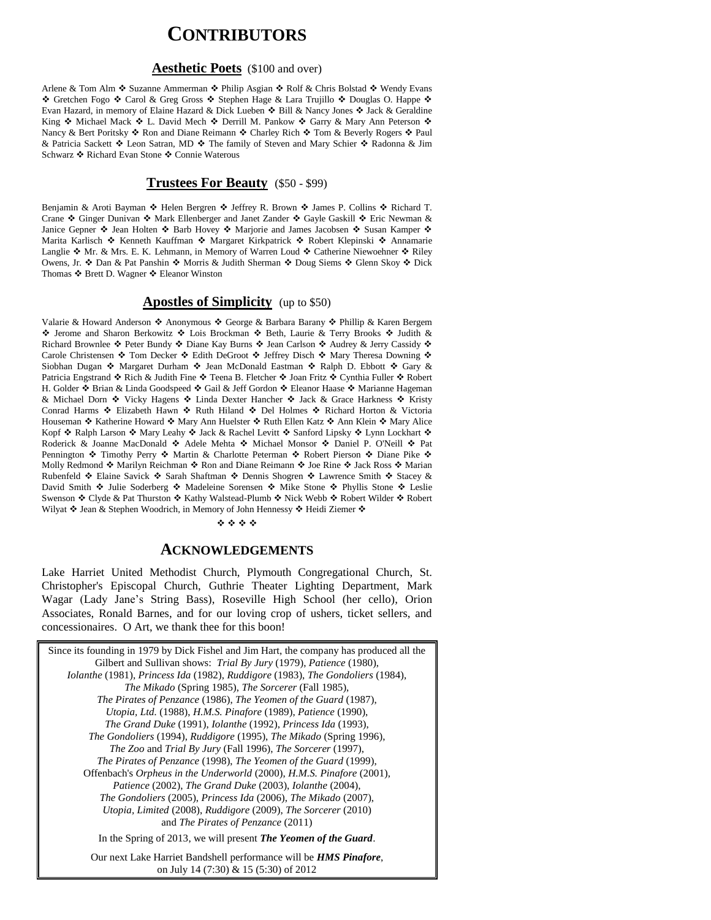## **CONTRIBUTORS**

#### **Aesthetic Poets** (\$100 and over)

Arlene & Tom Alm ❖ Suzanne Ammerman ❖ Philip Asgian ❖ Rolf & Chris Bolstad ❖ Wendy Evans ◆ Gretchen Fogo ◆ Carol & Greg Gross ◆ Stephen Hage & Lara Trujillo ◆ Douglas O. Happe ◆ Evan Hazard, in memory of Elaine Hazard & Dick Lueben  $\div$  Bill & Nancy Jones  $\div$  Jack & Geraldine King  $\div$  Michael Mack  $\div$  L. David Mech  $\div$  Derrill M. Pankow  $\div$  Garry & Mary Ann Peterson  $\div$ Nancy & Bert Poritsky ❖ Ron and Diane Reimann ❖ Charley Rich ❖ Tom & Beverly Rogers ❖ Paul & Patricia Sackett  $\cdot$  Leon Satran, MD  $\cdot$  The family of Steven and Mary Schier  $\cdot$  Radonna & Jim Schwarz ❖ Richard Evan Stone ❖ Connie Waterous

#### **Trustees For Beauty** (\$50 - \$99)

Benjamin & Aroti Bayman  $\cdot \cdot$  Helen Bergren  $\cdot \cdot$  Jeffrey R. Brown  $\cdot \cdot$  James P. Collins  $\cdot \cdot$  Richard T. Crane  $\div$  Ginger Dunivan  $\div$  Mark Ellenberger and Janet Zander  $\div$  Gayle Gaskill  $\div$  Eric Newman & Janice Gepner  $\cdot$  Jean Holten  $\cdot$  Barb Hovey  $\cdot$  Marjorie and James Jacobsen  $\cdot$  Susan Kamper  $\cdot$ Marita Karlisch \* Kenneth Kauffman \* Margaret Kirkpatrick \* Robert Klepinski \* Annamarie Langlie  $\clubsuit$  Mr. & Mrs. E. K. Lehmann, in Memory of Warren Loud  $\clubsuit$  Catherine Niewoehner  $\clubsuit$  Riley Owens, Jr. ❖ Dan & Pat Panshin ❖ Morris & Judith Sherman ❖ Doug Siems ❖ Glenn Skoy ❖ Dick Thomas ❖ Brett D. Wagner ❖ Eleanor Winston

#### **Apostles of Simplicity** (up to \$50)

Valarie & Howard Anderson ❖ Anonymous ❖ George & Barbara Barany ❖ Phillip & Karen Bergem ◆ Jerome and Sharon Berkowitz ◆ Lois Brockman ◆ Beth, Laurie & Terry Brooks ◆ Judith & Richard Brownlee  $\cdot$  Peter Bundy  $\cdot$  Diane Kay Burns  $\cdot$  Jean Carlson  $\cdot$  Audrey & Jerry Cassidy  $\cdot$ Carole Christensen  $\cdot$  Tom Decker  $\cdot$  Edith DeGroot  $\cdot$  Jeffrey Disch  $\cdot$  Mary Theresa Downing  $\cdot$ Siobhan Dugan  $\cdot \cdot$  Margaret Durham  $\cdot \cdot$  Jean McDonald Eastman  $\cdot \cdot$  Ralph D. Ebbott  $\cdot \cdot$  Gary & Patricia Engstrand ❖ Rich & Judith Fine ❖ Teena B. Fletcher ❖ Joan Fritz ❖ Cynthia Fuller ❖ Robert H. Golder  $\clubsuit$  Brian & Linda Goodspeed  $\clubsuit$  Gail & Jeff Gordon  $\clubsuit$  Eleanor Haase  $\clubsuit$  Marianne Hageman & Michael Dorn � Vicky Hagens � Linda Dexter Hancher � Jack & Grace Harkness � Kristy Conrad Harms ❖ Elizabeth Hawn ❖ Ruth Hiland ❖ Del Holmes ❖ Richard Horton & Victoria Houseman ❖ Katherine Howard ❖ Mary Ann Huelster ❖ Ruth Ellen Katz ❖ Ann Klein ❖ Mary Alice Kopf ❖ Ralph Larson ❖ Mary Leahy ❖ Jack & Rachel Levitt ❖ Sanford Lipsky ❖ Lynn Lockhart ❖ Roderick & Joanne MacDonald  $\cdot$  Adele Mehta  $\cdot$  Michael Monsor  $\cdot$  Daniel P. O'Neill  $\cdot$  Pat Pennington  $\cdot$  Timothy Perry  $\cdot$  Martin & Charlotte Peterman  $\cdot$  Robert Pierson  $\cdot$  Diane Pike  $\cdot$ Molly Redmond  $\clubsuit$  Marilyn Reichman  $\clubsuit$  Ron and Diane Reimann  $\clubsuit$  Joe Rine  $\clubsuit$  Jack Ross  $\clubsuit$  Marian Rubenfeld ❖ Elaine Savick ❖ Sarah Shaftman ❖ Dennis Shogren ❖ Lawrence Smith ❖ Stacey & David Smith  $\div$  Julie Soderberg  $\div$  Madeleine Sorensen  $\div$  Mike Stone  $\div$  Phyllis Stone  $\div$  Leslie Swenson ❖ Clyde & Pat Thurston ❖ Kathy Walstead-Plumb ❖ Nick Webb ❖ Robert Wilder ❖ Robert Wilyat  $\div$  Jean & Stephen Woodrich, in Memory of John Hennessy  $\div$  Heidi Ziemer  $\div$ 

#### \*\*\*\*

#### **ACKNOWLEDGEMENTS**

Lake Harriet United Methodist Church, Plymouth Congregational Church, St. Christopher's Episcopal Church, Guthrie Theater Lighting Department, Mark Wagar (Lady Jane's String Bass), Roseville High School (her cello), Orion Associates, Ronald Barnes, and for our loving crop of ushers, ticket sellers, and concessionaires. O Art, we thank thee for this boon!

| Since its founding in 1979 by Dick Fishel and Jim Hart, the company has produced all the |
|------------------------------------------------------------------------------------------|
| Gilbert and Sullivan shows: <i>Trial By Jury</i> (1979), <i>Patience</i> (1980),         |
| Iolanthe (1981), Princess Ida (1982), Ruddigore (1983), The Gondoliers (1984),           |
| The Mikado (Spring 1985), The Sorcerer (Fall 1985),                                      |
| The Pirates of Penzance (1986), The Yeomen of the Guard (1987),                          |
| Utopia, Ltd. (1988), H.M.S. Pinafore (1989), Patience (1990),                            |
| The Grand Duke (1991), Iolanthe (1992), Princess Ida (1993),                             |
| The Gondoliers (1994), Ruddigore (1995), The Mikado (Spring 1996),                       |
| <i>The Zoo and Trial By Jury (Fall 1996), The Sorcerer (1997),</i>                       |
| The Pirates of Penzance (1998), The Yeomen of the Guard (1999),                          |
| Offenbach's Orpheus in the Underworld (2000), H.M.S. Pinafore (2001),                    |
| Patience (2002), The Grand Duke (2003), Iolanthe (2004),                                 |
| The Gondoliers (2005), Princess Ida (2006), The Mikado (2007),                           |
| Utopia, Limited (2008), Ruddigore (2009), The Sorcerer (2010)                            |
| and <i>The Pirates of Penzance</i> (2011)                                                |
| In the Spring of 2013, we will present The Yeomen of the Guard.                          |
| Our next Lake Harriet Bandshell performance will be <b>HMS Pinafore</b> ,                |
| on July 14 (7:30) & 15 (5:30) of 2012                                                    |